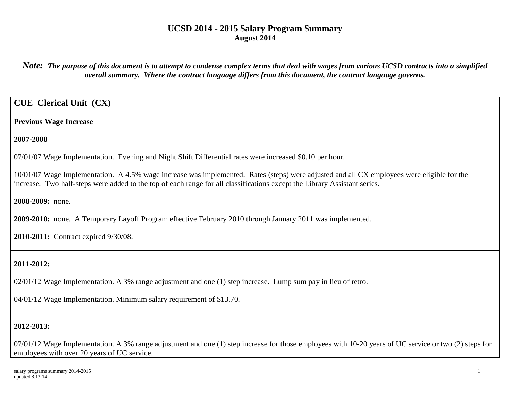*Note: The purpose of this document is to attempt to condense complex terms that deal with wages from various UCSD contracts into a simplified overall summary. Where the contract language differs from this document, the contract language governs.*

## **CUE Clerical Unit (CX)**

**Previous Wage Increase**

**2007-2008**

07/01/07 Wage Implementation. Evening and Night Shift Differential rates were increased \$0.10 per hour.

10/01/07 Wage Implementation. A 4.5% wage increase was implemented. Rates (steps) were adjusted and all CX employees were eligible for the increase. Two half-steps were added to the top of each range for all classifications except the Library Assistant series.

**2008-2009:** none.

**2009-2010:** none. A Temporary Layoff Program effective February 2010 through January 2011 was implemented.

**2010-2011:** Contract expired 9/30/08.

## **2011-2012:**

02/01/12 Wage Implementation. A 3% range adjustment and one (1) step increase. Lump sum pay in lieu of retro.

04/01/12 Wage Implementation. Minimum salary requirement of \$13.70.

# **2012-2013:**

07/01/12 Wage Implementation. A 3% range adjustment and one (1) step increase for those employees with 10-20 years of UC service or two (2) steps for employees with over 20 years of UC service.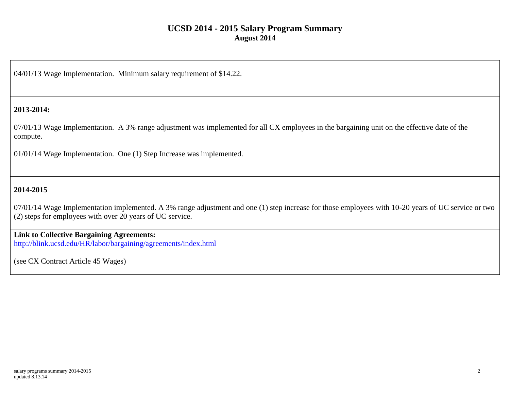04/01/13 Wage Implementation. Minimum salary requirement of \$14.22.

### **2013-2014:**

07/01/13 Wage Implementation. A 3% range adjustment was implemented for all CX employees in the bargaining unit on the effective date of the compute.

01/01/14 Wage Implementation. One (1) Step Increase was implemented.

### **2014-2015**

07/01/14 Wage Implementation implemented. A 3% range adjustment and one (1) step increase for those employees with 10-20 years of UC service or two (2) steps for employees with over 20 years of UC service.

### **Link to Collective Bargaining Agreements:**

<http://blink.ucsd.edu/HR/labor/bargaining/agreements/index.html>

(see CX Contract Article 45 Wages)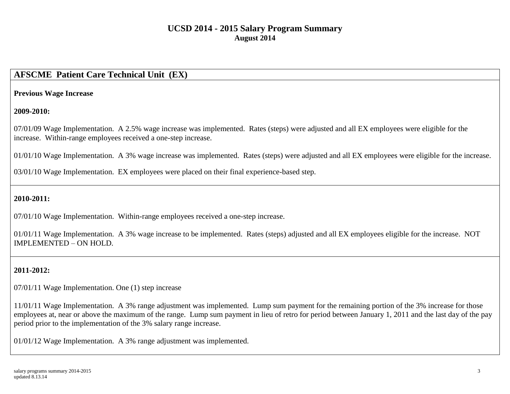## **AFSCME Patient Care Technical Unit (EX)**

#### **Previous Wage Increase**

#### **2009-2010:**

07/01/09 Wage Implementation. A 2.5% wage increase was implemented. Rates (steps) were adjusted and all EX employees were eligible for the increase. Within-range employees received a one-step increase.

01/01/10 Wage Implementation. A 3% wage increase was implemented. Rates (steps) were adjusted and all EX employees were eligible for the increase.

03/01/10 Wage Implementation. EX employees were placed on their final experience-based step.

### **2010-2011:**

07/01/10 Wage Implementation. Within-range employees received a one-step increase.

01/01/11 Wage Implementation. A 3% wage increase to be implemented. Rates (steps) adjusted and all EX employees eligible for the increase. NOT IMPLEMENTED – ON HOLD.

## **2011-2012:**

07/01/11 Wage Implementation. One (1) step increase

11/01/11 Wage Implementation. A 3% range adjustment was implemented. Lump sum payment for the remaining portion of the 3% increase for those employees at, near or above the maximum of the range. Lump sum payment in lieu of retro for period between January 1, 2011 and the last day of the pay period prior to the implementation of the 3% salary range increase.

01/01/12 Wage Implementation. A 3% range adjustment was implemented.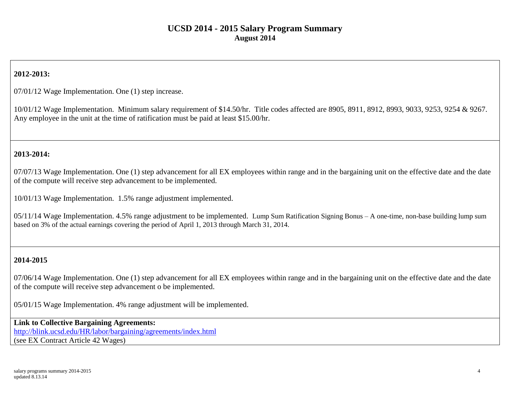## **2012-2013:**

07/01/12 Wage Implementation. One (1) step increase.

10/01/12 Wage Implementation. Minimum salary requirement of \$14.50/hr. Title codes affected are 8905, 8911, 8912, 8993, 9033, 9253, 9254 & 9267. Any employee in the unit at the time of ratification must be paid at least \$15.00/hr.

### **2013-2014:**

07/07/13 Wage Implementation. One (1) step advancement for all EX employees within range and in the bargaining unit on the effective date and the date of the compute will receive step advancement to be implemented.

10/01/13 Wage Implementation. 1.5% range adjustment implemented.

05/11/14 Wage Implementation. 4.5% range adjustment to be implemented. Lump Sum Ratification Signing Bonus – A one-time, non-base building lump sum based on 3% of the actual earnings covering the period of April 1, 2013 through March 31, 2014.

### **2014-2015**

07/06/14 Wage Implementation. One (1) step advancement for all EX employees within range and in the bargaining unit on the effective date and the date of the compute will receive step advancement o be implemented.

05/01/15 Wage Implementation. 4% range adjustment will be implemented.

**Link to Collective Bargaining Agreements:** <http://blink.ucsd.edu/HR/labor/bargaining/agreements/index.html> (see EX Contract Article 42 Wages)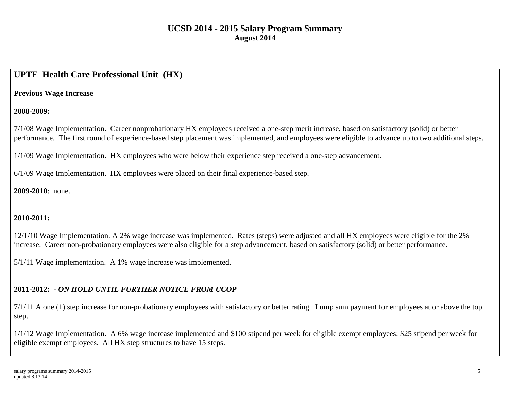# **UPTE Health Care Professional Unit (HX)**

### **Previous Wage Increase**

### **2008-2009:**

7/1/08 Wage Implementation. Career nonprobationary HX employees received a one-step merit increase, based on satisfactory (solid) or better performance. The first round of experience-based step placement was implemented, and employees were eligible to advance up to two additional steps.

1/1/09 Wage Implementation. HX employees who were below their experience step received a one-step advancement.

6/1/09 Wage Implementation. HX employees were placed on their final experience-based step.

### **2009-2010**: none.

## **2010-2011:**

12/1/10 Wage Implementation. A 2% wage increase was implemented. Rates (steps) were adjusted and all HX employees were eligible for the 2% increase. Career non-probationary employees were also eligible for a step advancement, based on satisfactory (solid) or better performance.

5/1/11 Wage implementation. A 1% wage increase was implemented.

## **2011-2012: -** *ON HOLD UNTIL FURTHER NOTICE FROM UCOP*

7/1/11 A one (1) step increase for non-probationary employees with satisfactory or better rating. Lump sum payment for employees at or above the top step.

1/1/12 Wage Implementation. A 6% wage increase implemented and \$100 stipend per week for eligible exempt employees; \$25 stipend per week for eligible exempt employees. All HX step structures to have 15 steps.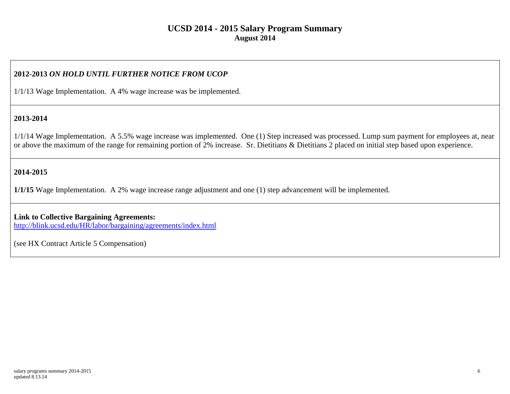### **2012-2013** *ON HOLD UNTIL FURTHER NOTICE FROM UCOP*

1/1/13 Wage Implementation. A 4% wage increase was be implemented.

#### **2013-2014**

1/1/14 Wage Implementation. A 5.5% wage increase was implemented. One (1) Step increased was processed. Lump sum payment for employees at, near or above the maximum of the range for remaining portion of 2% increase. Sr. Dietitians & Dietitians 2 placed on initial step based upon experience.

### **2014-2015**

**1/1/15** Wage Implementation. A 2% wage increase range adjustment and one (1) step advancement will be implemented.

**Link to Collective Bargaining Agreements:**  http://blink.ucsd.edu/HR/labor/bargaining/agreements/index.html

(see HX Contract Article 5 Compensation)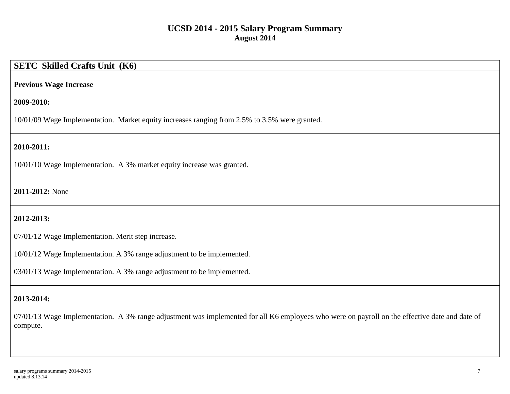# **SETC Skilled Crafts Unit (K6)**

#### **Previous Wage Increase**

#### **2009-2010:**

10/01/09 Wage Implementation. Market equity increases ranging from 2.5% to 3.5% were granted.

### **2010-2011:**

10/01/10 Wage Implementation. A 3% market equity increase was granted.

### **2011-2012:** None

### **2012-2013:**

07/01/12 Wage Implementation. Merit step increase.

10/01/12 Wage Implementation. A 3% range adjustment to be implemented.

03/01/13 Wage Implementation. A 3% range adjustment to be implemented.

### **2013-2014:**

07/01/13 Wage Implementation. A 3% range adjustment was implemented for all K6 employees who were on payroll on the effective date and date of compute.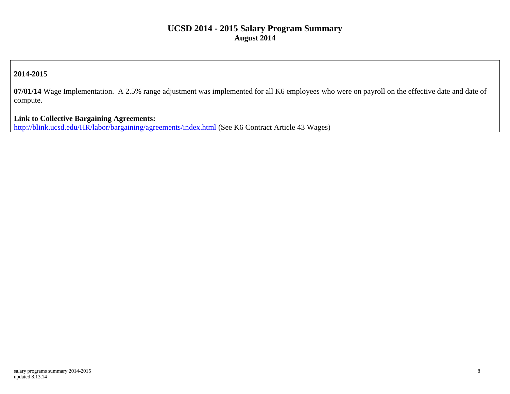### **2014-2015**

**07/01/14** Wage Implementation. A 2.5% range adjustment was implemented for all K6 employees who were on payroll on the effective date and date of compute.

**Link to Collective Bargaining Agreements:**  <http://blink.ucsd.edu/HR/labor/bargaining/agreements/index.html> (See K6 Contract Article 43 Wages)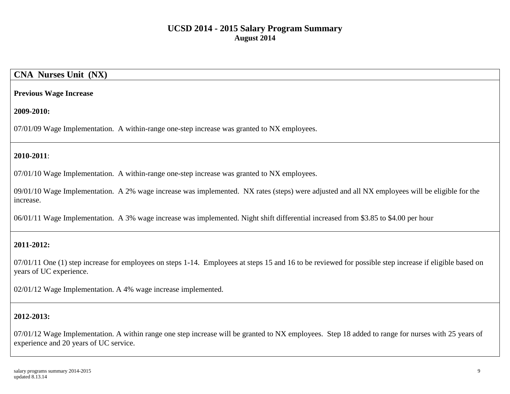## **CNA Nurses Unit (NX)**

#### **Previous Wage Increase**

#### **2009-2010:**

07/01/09 Wage Implementation. A within-range one-step increase was granted to NX employees.

## **2010-2011**:

07/01/10 Wage Implementation. A within-range one-step increase was granted to NX employees.

09/01/10 Wage Implementation. A 2% wage increase was implemented. NX rates (steps) were adjusted and all NX employees will be eligible for the increase.

06/01/11 Wage Implementation. A 3% wage increase was implemented. Night shift differential increased from \$3.85 to \$4.00 per hour

### **2011-2012:**

07/01/11 One (1) step increase for employees on steps 1-14. Employees at steps 15 and 16 to be reviewed for possible step increase if eligible based on years of UC experience.

02/01/12 Wage Implementation. A 4% wage increase implemented.

### **2012-2013:**

07/01/12 Wage Implementation. A within range one step increase will be granted to NX employees. Step 18 added to range for nurses with 25 years of experience and 20 years of UC service.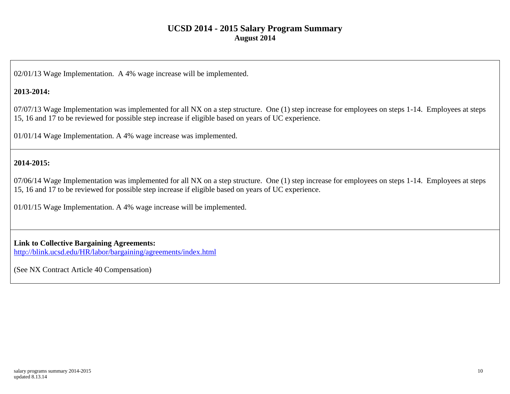02/01/13 Wage Implementation. A 4% wage increase will be implemented.

### **2013-2014:**

07/07/13 Wage Implementation was implemented for all NX on a step structure. One (1) step increase for employees on steps 1-14. Employees at steps 15, 16 and 17 to be reviewed for possible step increase if eligible based on years of UC experience.

01/01/14 Wage Implementation. A 4% wage increase was implemented.

### **2014-2015:**

07/06/14 Wage Implementation was implemented for all NX on a step structure. One (1) step increase for employees on steps 1-14. Employees at steps 15, 16 and 17 to be reviewed for possible step increase if eligible based on years of UC experience.

01/01/15 Wage Implementation. A 4% wage increase will be implemented.

### **Link to Collective Bargaining Agreements:**

<http://blink.ucsd.edu/HR/labor/bargaining/agreements/index.html>

(See NX Contract Article 40 Compensation)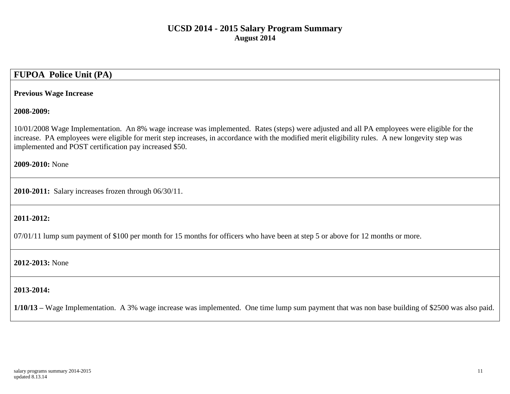# **FUPOA Police Unit (PA)**

#### **Previous Wage Increase**

#### **2008-2009:**

10/01/2008 Wage Implementation. An 8% wage increase was implemented. Rates (steps) were adjusted and all PA employees were eligible for the increase. PA employees were eligible for merit step increases, in accordance with the modified merit eligibility rules. A new longevity step was implemented and POST certification pay increased \$50.

**2009-2010:** None

**2010-2011:** Salary increases frozen through 06/30/11.

#### **2011-2012:**

07/01/11 lump sum payment of \$100 per month for 15 months for officers who have been at step 5 or above for 12 months or more.

#### **2012-2013:** None

#### **2013-2014:**

**1/10/13 –** Wage Implementation. A 3% wage increase was implemented. One time lump sum payment that was non base building of \$2500 was also paid.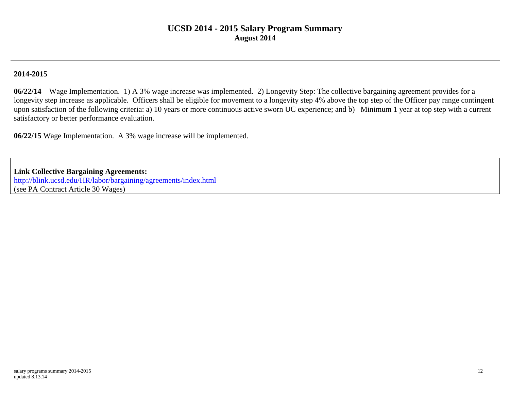### **2014-2015**

**06/22/14** – Wage Implementation. 1) A 3% wage increase was implemented. 2) Longevity Step: The collective bargaining agreement provides for a longevity step increase as applicable. Officers shall be eligible for movement to a longevity step 4% above the top step of the Officer pay range contingent upon satisfaction of the following criteria: a) 10 years or more continuous active sworn UC experience; and b) Minimum 1 year at top step with a current satisfactory or better performance evaluation.

**06/22/15** Wage Implementation. A 3% wage increase will be implemented.

**Link Collective Bargaining Agreements:**

<http://blink.ucsd.edu/HR/labor/bargaining/agreements/index.html> (see PA Contract Article 30 Wages)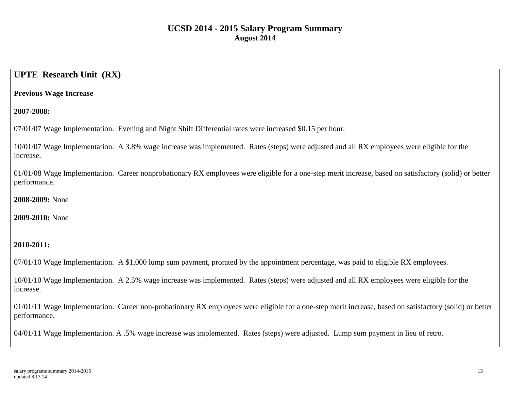## **UPTE Research Unit (RX)**

#### **Previous Wage Increase**

**2007-2008:**

07/01/07 Wage Implementation. Evening and Night Shift Differential rates were increased \$0.15 per hour.

10/01/07 Wage Implementation. A 3.8% wage increase was implemented. Rates (steps) were adjusted and all RX employees were eligible for the increase.

01/01/08 Wage Implementation. Career nonprobationary RX employees were eligible for a one-step merit increase, based on satisfactory (solid) or better performance.

**2008-2009:** None

**2009-2010:** None

### **2010-2011:**

07/01/10 Wage Implementation. A \$1,000 lump sum payment, prorated by the appointment percentage, was paid to eligible RX employees.

10/01/10 Wage Implementation. A 2.5% wage increase was implemented. Rates (steps) were adjusted and all RX employees were eligible for the increase.

01/01/11 Wage Implementation. Career non-probationary RX employees were eligible for a one-step merit increase, based on satisfactory (solid) or better performance.

04/01/11 Wage Implementation. A .5% wage increase was implemented. Rates (steps) were adjusted. Lump sum payment in lieu of retro.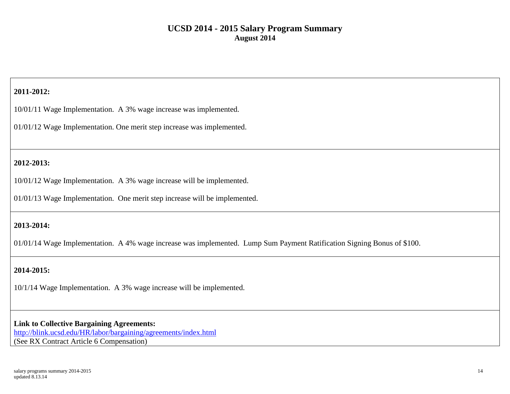## **2011-2012:**

10/01/11 Wage Implementation. A 3% wage increase was implemented.

01/01/12 Wage Implementation. One merit step increase was implemented.

## **2012-2013:**

10/01/12 Wage Implementation. A 3% wage increase will be implemented.

01/01/13 Wage Implementation. One merit step increase will be implemented.

## **2013-2014:**

01/01/14 Wage Implementation. A 4% wage increase was implemented. Lump Sum Payment Ratification Signing Bonus of \$100.

## **2014-2015:**

10/1/14 Wage Implementation. A 3% wage increase will be implemented.

#### **Link to Collective Bargaining Agreements:**

<http://blink.ucsd.edu/HR/labor/bargaining/agreements/index.html> (See RX Contract Article 6 Compensation)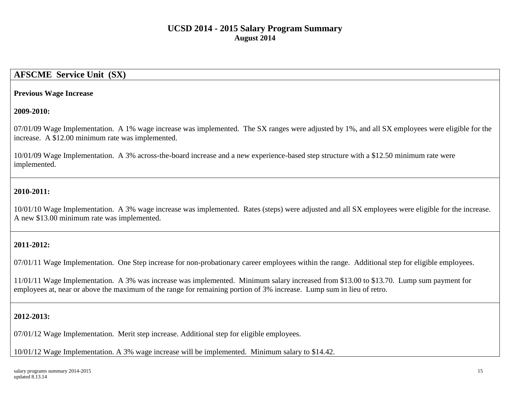## **AFSCME Service Unit (SX)**

#### **Previous Wage Increase**

#### **2009-2010:**

07/01/09 Wage Implementation. A 1% wage increase was implemented. The SX ranges were adjusted by 1%, and all SX employees were eligible for the increase. A \$12.00 minimum rate was implemented.

10/01/09 Wage Implementation. A 3% across-the-board increase and a new experience-based step structure with a \$12.50 minimum rate were implemented.

## **2010-2011:**

10/01/10 Wage Implementation. A 3% wage increase was implemented. Rates (steps) were adjusted and all SX employees were eligible for the increase. A new \$13.00 minimum rate was implemented.

### **2011-2012:**

07/01/11 Wage Implementation. One Step increase for non-probationary career employees within the range. Additional step for eligible employees.

11/01/11 Wage Implementation. A 3% was increase was implemented. Minimum salary increased from \$13.00 to \$13.70. Lump sum payment for employees at, near or above the maximum of the range for remaining portion of 3% increase. Lump sum in lieu of retro.

### **2012-2013:**

07/01/12 Wage Implementation. Merit step increase. Additional step for eligible employees.

10/01/12 Wage Implementation. A 3% wage increase will be implemented. Minimum salary to \$14.42.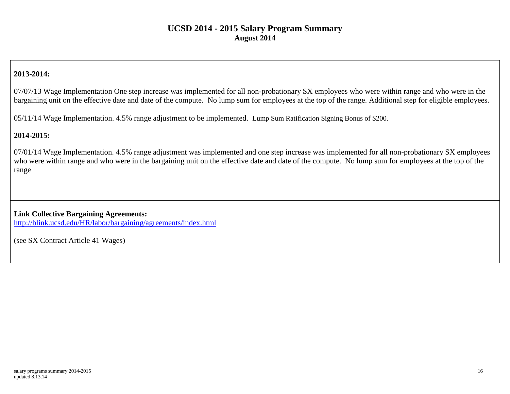## **2013-2014:**

07/07/13 Wage Implementation One step increase was implemented for all non-probationary SX employees who were within range and who were in the bargaining unit on the effective date and date of the compute. No lump sum for employees at the top of the range. Additional step for eligible employees.

05/11/14 Wage Implementation. 4.5% range adjustment to be implemented. Lump Sum Ratification Signing Bonus of \$200.

#### **2014-2015:**

07/01/14 Wage Implementation. 4.5% range adjustment was implemented and one step increase was implemented for all non-probationary SX employees who were within range and who were in the bargaining unit on the effective date and date of the compute. No lump sum for employees at the top of the range

**Link Collective Bargaining Agreements:** <http://blink.ucsd.edu/HR/labor/bargaining/agreements/index.html>

(see SX Contract Article 41 Wages)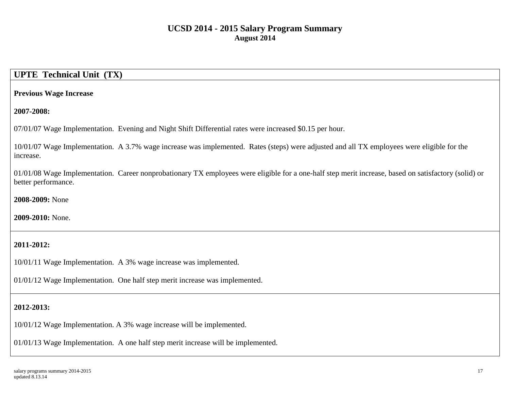# **UPTE Technical Unit (TX)**

#### **Previous Wage Increase**

**2007-2008:**

07/01/07 Wage Implementation. Evening and Night Shift Differential rates were increased \$0.15 per hour.

10/01/07 Wage Implementation. A 3.7% wage increase was implemented. Rates (steps) were adjusted and all TX employees were eligible for the increase.

01/01/08 Wage Implementation. Career nonprobationary TX employees were eligible for a one-half step merit increase, based on satisfactory (solid) or better performance.

**2008-2009:** None

**2009-2010:** None.

## **2011-2012:**

10/01/11 Wage Implementation. A 3% wage increase was implemented.

01/01/12 Wage Implementation. One half step merit increase was implemented.

### **2012-2013:**

10/01/12 Wage Implementation. A 3% wage increase will be implemented.

01/01/13 Wage Implementation. A one half step merit increase will be implemented.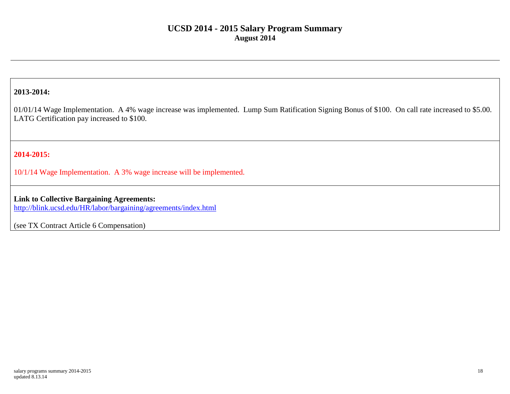### **2013-2014:**

01/01/14 Wage Implementation. A 4% wage increase was implemented. Lump Sum Ratification Signing Bonus of \$100. On call rate increased to \$5.00. LATG Certification pay increased to \$100.

## **2014-2015:**

10/1/14 Wage Implementation. A 3% wage increase will be implemented.

### **Link to Collective Bargaining Agreements:**

<http://blink.ucsd.edu/HR/labor/bargaining/agreements/index.html>

(see TX Contract Article 6 Compensation)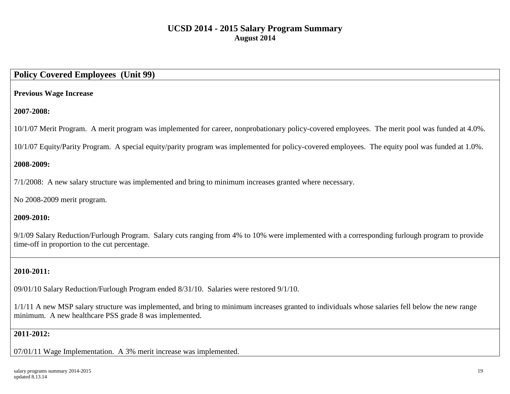## **Policy Covered Employees (Unit 99)**

### **Previous Wage Increase**

### **2007-2008:**

10/1/07 Merit Program. A merit program was implemented for career, nonprobationary policy-covered employees. The merit pool was funded at 4.0%.

10/1/07 Equity/Parity Program. A special equity/parity program was implemented for policy-covered employees. The equity pool was funded at 1.0%.

### **2008-2009:**

7/1/2008: A new salary structure was implemented and bring to minimum increases granted where necessary.

No 2008-2009 merit program.

### **2009-2010:**

9/1/09 Salary Reduction/Furlough Program. Salary cuts ranging from 4% to 10% were implemented with a corresponding furlough program to provide time-off in proportion to the cut percentage.

## **2010-2011:**

09/01/10 Salary Reduction/Furlough Program ended 8/31/10. Salaries were restored 9/1/10.

1/1/11 A new MSP salary structure was implemented, and bring to minimum increases granted to individuals whose salaries fell below the new range minimum. A new healthcare PSS grade 8 was implemented.

### **2011-2012:**

07/01/11 Wage Implementation. A 3% merit increase was implemented.